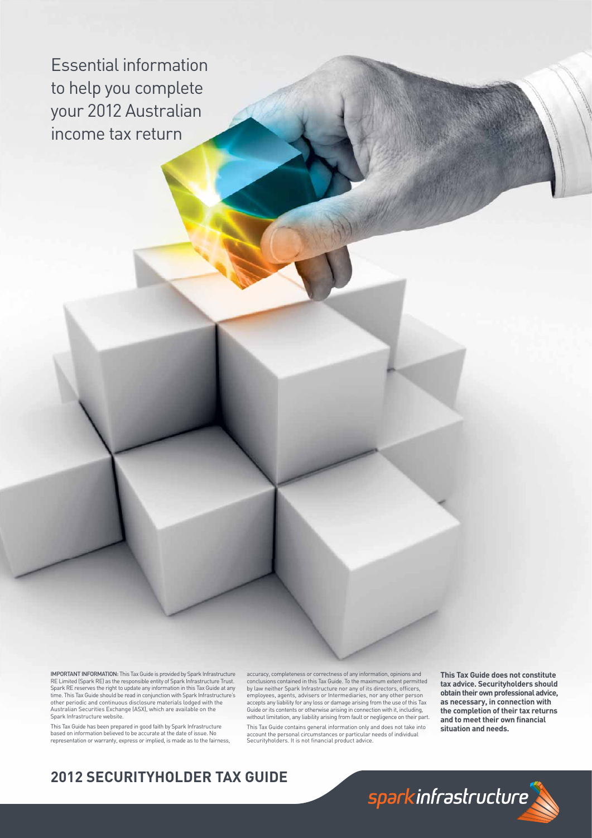Essential information to help you complete your 2012 Australian income tax return

IMPORTANT INFORMATION: This Tax Guide is provided by Spark Infrastructure RE Limited (Spark RE) as the responsible entity of Spark Infrastructure Trust. Spark RE reserves the right to update any information in this Tax Guide at any<br>time. This Tax Guide should be read in conjunction with Spark Infrastructure's<br>other periodic and continuous disclosure materials lodged with t Australian Securities Exchange (ASX), which are available on the Spark Infrastructure website.

This Tax Guide has been prepared in good faith by Spark Infrastructure based on information believed to be accurate at the date of issue. No representation or warranty, express or implied, is made as to the fairness, accuracy, completeness or correctness of any information, opinions and conclusions contained in this Tax Guide. To the maximum extent permitted by law neither Spark Infrastructure nor any of its directors, officers,<br>employees, agents, advisers or Intermediaries, nor any other person accepts any liability for any loss or damage arising from the use of this Tax Guide or its contents or otherwise arising in connection with it, including, without limitation, any liability arising from fault or negligence on their part. This Tax Guide contains general information only and does not take into account the personal circumstances or particular needs of individual<br>Securityholders. It is not financial product advice.

**This Tax Guide does not constitute tax advice. Securityholders should obtain their own professional advice, as necessary, in connection with the completion of their tax returns**  and to meet their own financial **situation and needs.** 

# **2012 SECURITYHOLDER TAX GUIDE**

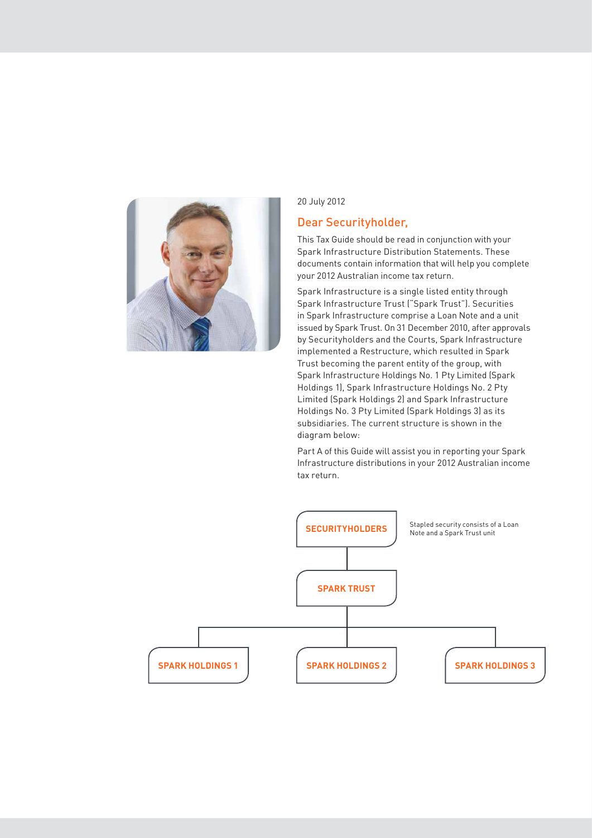

20 July 2012

### Dear Securityholder,

This Tax Guide should be read in conjunction with your Spark Infrastructure Distribution Statements. These documents contain information that will help you complete your 2012 Australian income tax return.

Spark Infrastructure is a single listed entity through Spark Infrastructure Trust ("Spark Trust"). Securities in Spark Infrastructure comprise a Loan Note and a unit issued by Spark Trust. On 31 December 2010, after approvals by Securityholders and the Courts, Spark Infrastructure implemented a Restructure, which resulted in Spark Trust becoming the parent entity of the group, with Spark Infrastructure Holdings No. 1 Pty Limited (Spark Holdings 1), Spark Infrastructure Holdings No. 2 Pty Limited (Spark Holdings 2) and Spark Infrastructure Holdings No. 3 Pty Limited (Spark Holdings 3) as its subsidiaries. The current structure is shown in the diagram below:

Part A of this Guide will assist you in reporting your Spark Infrastructure distributions in your 2012 Australian income tax return.

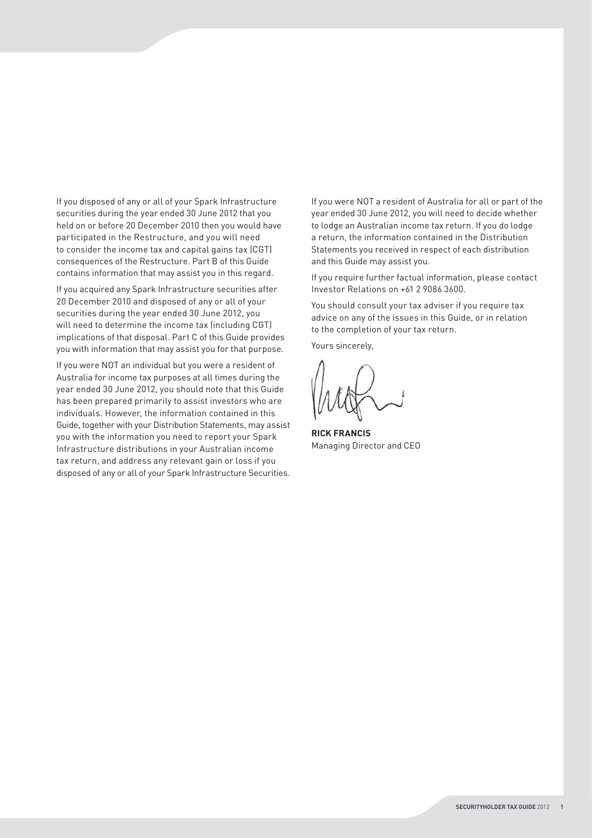If you disposed of any or all of your Spark Infrastructure securities during the year ended 30 June 2012 that you held on or before 20 December 2010 then you would have participated in the Restructure, and you will need to consider the income tax and capital gains tax (CGT) consequences of the Restructure. Part B of this Guide contains information that may assist you in this regard.

If you acquired any Spark Infrastructure securities after 20 December 2010 and disposed of any or all of your securities during the year ended 30 June 2012, you will need to determine the income tax (including CGT) implications of that disposal. Part C of this Guide provides you with information that may assist you for that purpose.

If you were NOT an individual but you were a resident of Australia for income tax purposes at all times during the year ended 30 June 2012, you should note that this Guide has been prepared primarily to assist investors who are individuals. However, the information contained in this Guide, together with your Distribution Statements, may assist you with the information you need to report your Spark Infrastructure distributions in your Australian income tax return, and address any relevant gain or loss if you disposed of any or all of your Spark Infrastructure Securities. If you were NOT a resident of Australia for all or part of the year ended 30 June 2012, you will need to decide whether to lodge an Australian income tax return. If you do lodge a return, the information contained in the Distribution Statements you received in respect of each distribution and this Guide may assist you.

If you require further factual information, please contact Investor Relations on +61 2 9086 3600.

You should consult your tax adviser if you require tax advice on any of the issues in this Guide, or in relation to the completion of your tax return.

Yours sincerely,

**RICK FRANCIS** Managing Director and CEO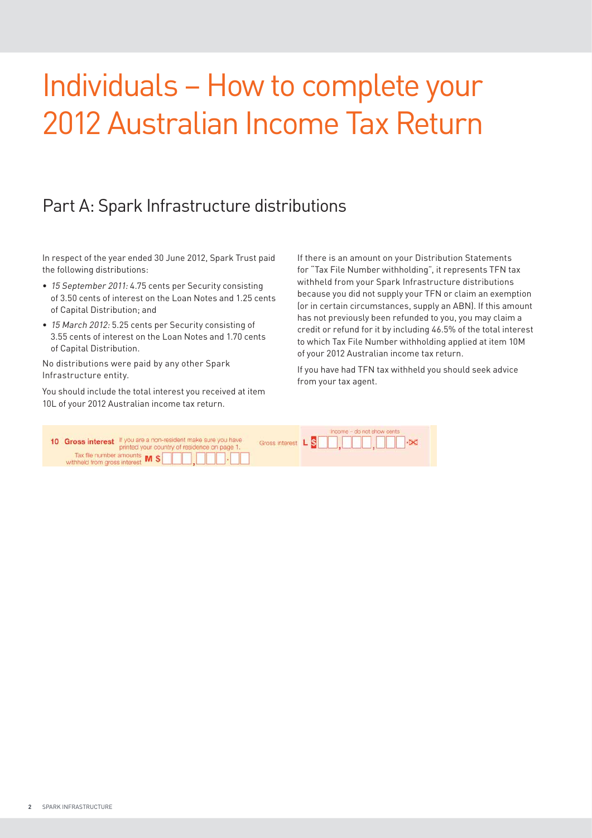# Individuals – How to complete your 2012 Australian Income Tax Return

# Part A: Spark Infrastructure distributions

In respect of the year ended 30 June 2012, Spark Trust paid the following distributions:

- 15 September 2011: 4.75 cents per Security consisting of 3.50 cents of interest on the Loan Notes and 1.25 cents of Capital Distribution; and
- 15 March 2012: 5.25 cents per Security consisting of 3.55 cents of interest on the Loan Notes and 1.70 cents of Capital Distribution.

No distributions were paid by any other Spark Infrastructure entity.

You should include the total interest you received at item 10L of your 2012 Australian income tax return.

If there is an amount on your Distribution Statements for "Tax File Number withholding", it represents TFN tax withheld from your Spark Infrastructure distributions because you did not supply your TFN or claim an exemption (or in certain circumstances, supply an ABN). If this amount has not previously been refunded to you, you may claim a credit or refund for it by including 46.5% of the total interest to which Tax File Number withholding applied at item 10M of your 2012 Australian income tax return.

If you have had TFN tax withheld you should seek advice from your tax agent.

| 10 Gross interest If you are a non-resident make sure you have<br>printed your country of residence on page 1. | Income - do not show cents<br>Gross interest L S D D, D D D D D DX |  |
|----------------------------------------------------------------------------------------------------------------|--------------------------------------------------------------------|--|
| Tax file number amounts $\mathsf{M}$ <b>S</b> $\Box$ , $\Box$ , $\Box$                                         |                                                                    |  |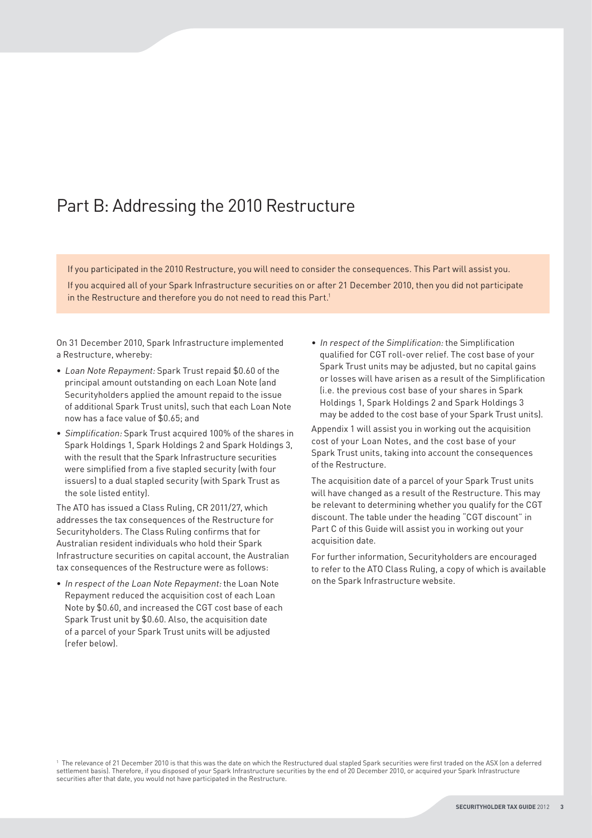# Part B: Addressing the 2010 Restructure

If you participated in the 2010 Restructure, you will need to consider the consequences. This Part will assist you.

If you acquired all of your Spark Infrastructure securities on or after 21 December 2010, then you did not participate in the Restructure and therefore you do not need to read this Part.<sup>1</sup>

On 31 December 2010, Spark Infrastructure implemented a Restructure, whereby:

- Loan Note Repayment: Spark Trust repaid \$0.60 of the principal amount outstanding on each Loan Note (and Securityholders applied the amount repaid to the issue of additional Spark Trust units), such that each Loan Note now has a face value of \$0.65; and
- Simplification: Spark Trust acquired 100% of the shares in Spark Holdings 1, Spark Holdings 2 and Spark Holdings 3, with the result that the Spark Infrastructure securities were simplified from a five stapled security (with four issuers) to a dual stapled security (with Spark Trust as the sole listed entity).

The ATO has issued a Class Ruling, CR 2011/27, which addresses the tax consequences of the Restructure for Securityholders. The Class Ruling confirms that for Australian resident individuals who hold their Spark Infrastructure securities on capital account, the Australian tax consequences of the Restructure were as follows:

• In respect of the Loan Note Repayment: the Loan Note Repayment reduced the acquisition cost of each Loan Note by \$0.60, and increased the CGT cost base of each Spark Trust unit by \$0.60. Also, the acquisition date of a parcel of your Spark Trust units will be adjusted (refer below).

• In respect of the Simplification: the Simplification qualified for CGT roll-over relief. The cost base of your Spark Trust units may be adjusted, but no capital gains or losses will have arisen as a result of the Simplification (i.e. the previous cost base of your shares in Spark Holdings 1, Spark Holdings 2 and Spark Holdings 3 may be added to the cost base of your Spark Trust units).

Appendix 1 will assist you in working out the acquisition cost of your Loan Notes, and the cost base of your Spark Trust units, taking into account the consequences of the Restructure.

The acquisition date of a parcel of your Spark Trust units will have changed as a result of the Restructure. This may be relevant to determining whether you qualify for the CGT discount. The table under the heading "CGT discount" in Part C of this Guide will assist you in working out your acquisition date.

For further information, Securityholders are encouraged to refer to the ATO Class Ruling, a copy of which is available on the Spark Infrastructure website.

 $^{\rm 1}$  The relevance of 21 December 2010 is that this was the date on which the Restructured dual stapled Spark securities were first traded on the ASX (on a deferred settlement basis). Therefore, if you disposed of your Spark Infrastructure securities by the end of 20 December 2010, or acquired your Spark Infrastructure securities after that date, you would not have participated in the Restructure.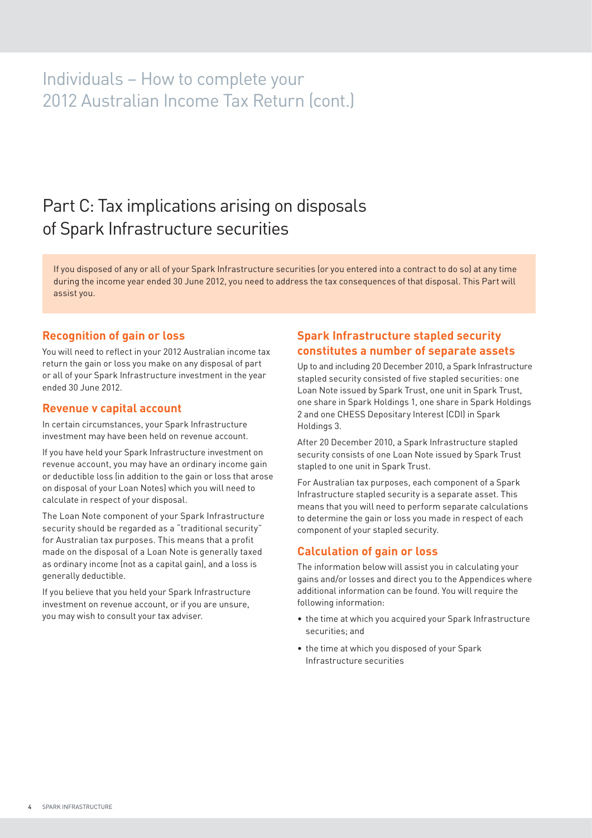# Individuals – How to complete your 2012 Australian Income Tax Return (cont.)

# Part C: Tax implications arising on disposals of Spark Infrastructure securities

If you disposed of any or all of your Spark Infrastructure securities (or you entered into a contract to do so) at any time during the income year ended 30 June 2012, you need to address the tax consequences of that disposal. This Part will assist you.

#### **Recognition of gain or loss**

You will need to reflect in your 2012 Australian income tax return the gain or loss you make on any disposal of part or all of your Spark Infrastructure investment in the year ended 30 June 2012.

#### **Revenue v capital account**

In certain circumstances, your Spark Infrastructure investment may have been held on revenue account.

If you have held your Spark Infrastructure investment on revenue account, you may have an ordinary income gain or deductible loss (in addition to the gain or loss that arose on disposal of your Loan Notes) which you will need to calculate in respect of your disposal.

The Loan Note component of your Spark Infrastructure security should be regarded as a "traditional security" for Australian tax purposes. This means that a profit made on the disposal of a Loan Note is generally taxed as ordinary income (not as a capital gain), and a loss is generally deductible.

If you believe that you held your Spark Infrastructure investment on revenue account, or if you are unsure, you may wish to consult your tax adviser.

## **Spark Infrastructure stapled security constitutes a number of separate assets**

Up to and including 20 December 2010, a Spark Infrastructure stapled security consisted of five stapled securities: one Loan Note issued by Spark Trust, one unit in Spark Trust, one share in Spark Holdings 1, one share in Spark Holdings 2 and one CHESS Depositary Interest (CDI) in Spark Holdings 3.

After 20 December 2010, a Spark Infrastructure stapled security consists of one Loan Note issued by Spark Trust stapled to one unit in Spark Trust.

For Australian tax purposes, each component of a Spark Infrastructure stapled security is a separate asset. This means that you will need to perform separate calculations to determine the gain or loss you made in respect of each component of your stapled security.

### **Calculation of gain or loss**

The information below will assist you in calculating your gains and/or losses and direct you to the Appendices where additional information can be found. You will require the following information:

- the time at which you acquired your Spark Infrastructure securities; and
- the time at which you disposed of your Spark Infrastructure securities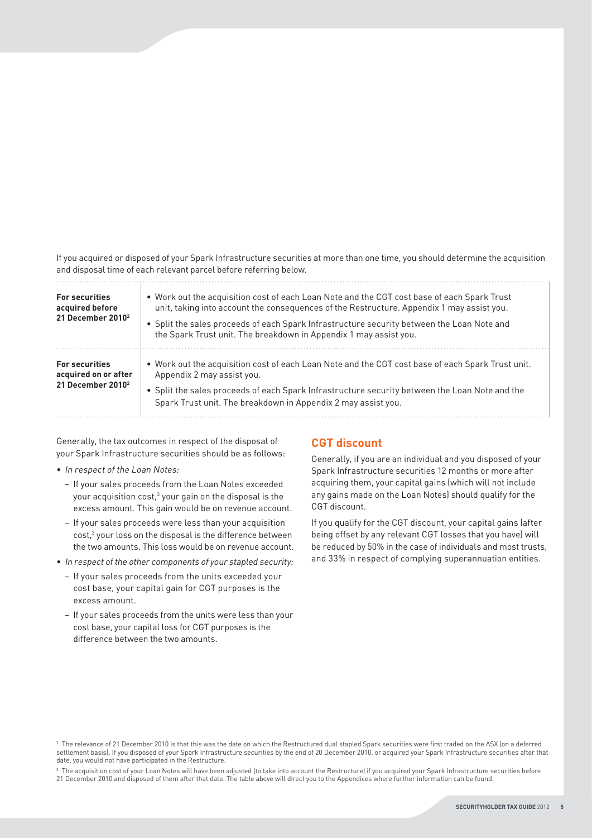If you acquired or disposed of your Spark Infrastructure securities at more than one time, you should determine the acquisition and disposal time of each relevant parcel before referring below.

| <b>For securities</b><br>acquired before<br>21 December 2010 <sup>2</sup>      | • Work out the acquisition cost of each Loan Note and the CGT cost base of each Spark Trust<br>unit, taking into account the consequences of the Restructure. Appendix 1 may assist you.<br>• Split the sales proceeds of each Spark Infrastructure security between the Loan Note and<br>the Spark Trust unit. The breakdown in Appendix 1 may assist you. |
|--------------------------------------------------------------------------------|-------------------------------------------------------------------------------------------------------------------------------------------------------------------------------------------------------------------------------------------------------------------------------------------------------------------------------------------------------------|
| <b>For securities</b><br>acquired on or after<br>21 December 2010 <sup>2</sup> | . Work out the acquisition cost of each Loan Note and the CGT cost base of each Spark Trust unit.<br>Appendix 2 may assist you.<br>• Split the sales proceeds of each Spark Infrastructure security between the Loan Note and the<br>Spark Trust unit. The breakdown in Appendix 2 may assist you.                                                          |

Generally, the tax outcomes in respect of the disposal of your Spark Infrastructure securities should be as follows:

- In respect of the Loan Notes:
	- If your sales proceeds from the Loan Notes exceeded your acquisition cost, $^3$  your gain on the disposal is the excess amount. This gain would be on revenue account.
	- If your sales proceeds were less than your acquisition cost,3 your loss on the disposal is the difference between the two amounts. This loss would be on revenue account.
- In respect of the other components of your stapled security:
	- If your sales proceeds from the units exceeded your cost base, your capital gain for CGT purposes is the excess amount.
	- If your sales proceeds from the units were less than your cost base, your capital loss for CGT purposes is the difference between the two amounts.

## **CGT discount**

Generally, if you are an individual and you disposed of your Spark Infrastructure securities 12 months or more after acquiring them, your capital gains (which will not include any gains made on the Loan Notes) should qualify for the CGT discount.

If you qualify for the CGT discount, your capital gains (after being offset by any relevant CGT losses that you have) will be reduced by 50% in the case of individuals and most trusts, and 33% in respect of complying superannuation entities.

 $^{\rm 2}$  The relevance of 21 December 2010 is that this was the date on which the Restructured dual stapled Spark securities were first traded on the ASX (on a deferred settlement basis). If you disposed of your Spark Infrastructure securities by the end of 20 December 2010, or acquired your Spark Infrastructure securities after that date, you would not have participated in the Restructure.

 $^{\rm 3}$  The acquisition cost of your Loan Notes will have been adjusted (to take into account the Restructure) if you acquired your Spark Infrastructure securities before 21 December 2010 and disposed of them after that date. The table above will direct you to the Appendices where further information can be found.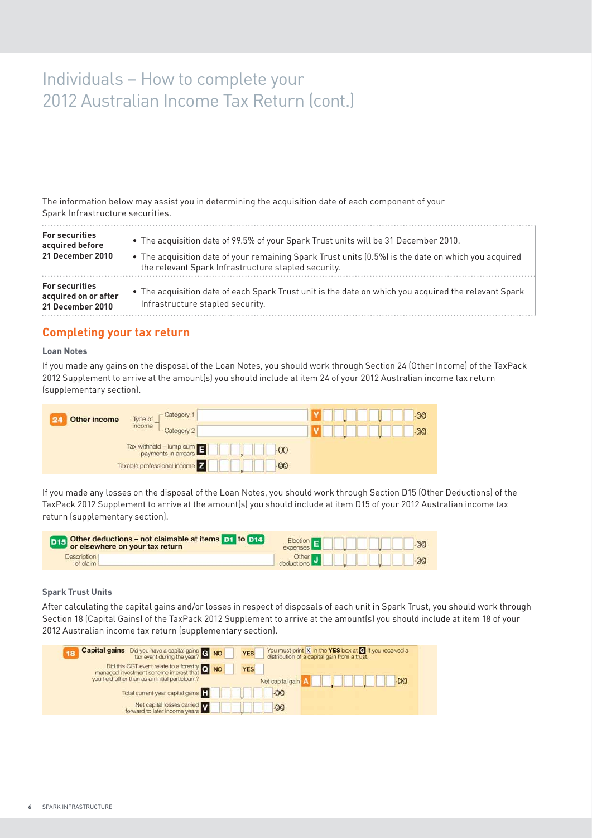# Individuals – How to complete your 2012 Australian Income Tax Return (cont.)

The information below may assist you in determining the acquisition date of each component of your Spark Infrastructure securities.

| <b>For securities</b>                                             | . The acquisition date of 99.5% of your Spark Trust units will be 31 December 2010.                                                      |
|-------------------------------------------------------------------|------------------------------------------------------------------------------------------------------------------------------------------|
| acquired before                                                   | • The acquisition date of your remaining Spark Trust units (0.5%) is the date on which you acquired                                      |
| 21 December 2010                                                  | the relevant Spark Infrastructure stapled security.                                                                                      |
| <b>For securities</b><br>acquired on or after<br>21 December 2010 | • The acquisition date of each Spark Trust unit is the date on which you acquired the relevant Spark<br>Infrastructure stapled security. |

#### **Completing your tax return**

#### **Loan Notes**

If you made any gains on the disposal of the Loan Notes, you should work through Section 24 (Other Income) of the TaxPack 2012 Supplement to arrive at the amount(s) you should include at item 24 of your 2012 Australian income tax return (supplementary section).

| <b>Other income</b> | -Category 1<br>Type of<br>income<br>L Category 2                                                   | $-00$<br>$-00$ |
|---------------------|----------------------------------------------------------------------------------------------------|----------------|
|                     | $\frac{1}{2}$ Tax withheld – lump sum $\frac{1}{2}$<br>.00<br>Taxable professional income<br>$-00$ |                |

If you made any losses on the disposal of the Loan Notes, you should work through Section D15 (Other Deductions) of the TaxPack 2012 Supplement to arrive at the amount(s) you should include at item D15 of your 2012 Australian income tax return (supplementary section).

| <b>D15</b> Other deductions - not claimable at items <b>D1</b> to <b>D14</b> | Election E <b>DIE DIE DE LA BO</b>                |  |
|------------------------------------------------------------------------------|---------------------------------------------------|--|
| <b>Description</b><br>of claim                                               | Other J <b>Discretions</b> J <b>Discretions</b> 3 |  |

#### **Spark Trust Units**

After calculating the capital gains and/or losses in respect of disposals of each unit in Spark Trust, you should work through Section 18 (Capital Gains) of the TaxPack 2012 Supplement to arrive at the amount(s) you should include at item 18 of your 2012 Australian income tax return (supplementary section).

| <b>Capital gains</b> Did you have a capital gains <b>G</b> NO<br>18                                                                       | You must print $ X $ in the YES box at $\bigcirc$ if you received a<br><b>YES</b><br>distribution of a capital gain from a trust. |
|-------------------------------------------------------------------------------------------------------------------------------------------|-----------------------------------------------------------------------------------------------------------------------------------|
| Did this CGT event relate to a forestry Q NO<br>managed investment scheme interest that<br>you held other than as an initial participant? | <b>YES</b><br>-00<br>Net capital gain                                                                                             |
| Total current year capital gains                                                                                                          | $-00$                                                                                                                             |
| Net capital losses carried<br>forward to later income years                                                                               | $-00$                                                                                                                             |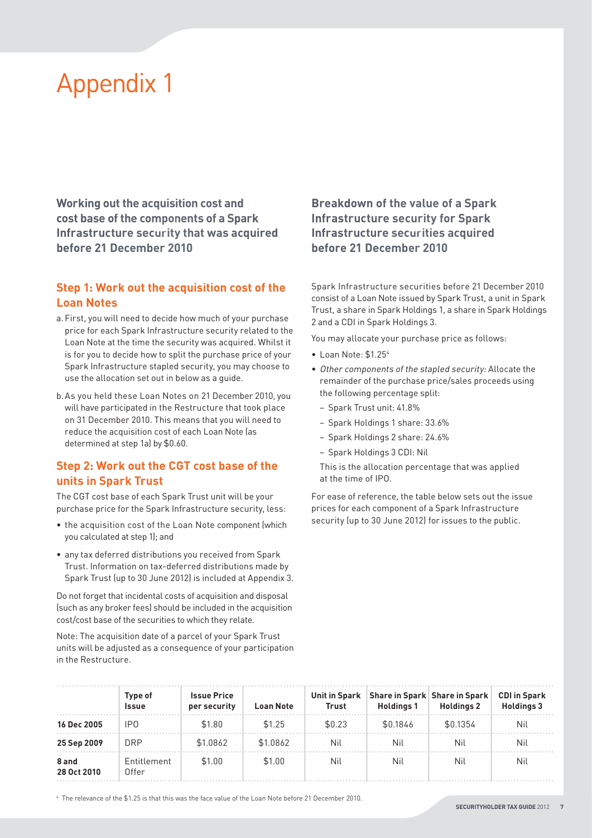# Appendix 1

**Working out the acquisition cost and cost base of the components of a Spark Infrastructure security that was acquired before 21 December 2010**

## **Step 1: Work out the acquisition cost of the Loan Notes**

- a. First, you will need to decide how much of your purchase price for each Spark Infrastructure security related to the Loan Note at the time the security was acquired. Whilst it is for you to decide how to split the purchase price of your Spark Infrastructure stapled security, you may choose to use the allocation set out in below as a guide.
- b. As you held these Loan Notes on 21 December 2010, you will have participated in the Restructure that took place on 31 December 2010. This means that you will need to reduce the acquisition cost of each Loan Note (as determined at step 1a) by \$0.60.

## **Step 2: Work out the CGT cost base of the units in Spark Trust**

The CGT cost base of each Spark Trust unit will be your purchase price for the Spark Infrastructure security, less:

- the acquisition cost of the Loan Note component (which you calculated at step 1); and
- any tax deferred distributions you received from Spark Trust. Information on tax-deferred distributions made by Spark Trust (up to 30 June 2012) is included at Appendix 3.

Do not forget that incidental costs of acquisition and disposal (such as any broker fees) should be included in the acquisition cost/cost base of the securities to which they relate.

Note: The acquisition date of a parcel of your Spark Trust units will be adjusted as a consequence of your participation in the Restructure.

## **Breakdown of the value of a Spark Infrastructure security for Spark Infrastructure securities acquired before 21 December 2010**

Spark Infrastructure securities before 21 December 2010 consist of a Loan Note issued by Spark Trust, a unit in Spark Trust, a share in Spark Holdings 1, a share in Spark Holdings 2 and a CDI in Spark Holdings 3.

You may allocate your purchase price as follows:

- Loan Note: \$1.254
- Other components of the stapled security: Allocate the remainder of the purchase price/sales proceeds using the following percentage split:
	- Spark Trust unit: 41.8%
	- Spark Holdings 1 share: 33.6%
	- Spark Holdings 2 share: 24.6%
	- Spark Holdings 3 CDI: Nil

 This is the allocation percentage that was applied at the time of IPO.

For ease of reference, the table below sets out the issue prices for each component of a Spark Infrastructure security (up to 30 June 2012) for issues to the public.

|                      | Type of<br><b>Issue</b> | <b>Issue Price</b><br>per security | <b>Loan Note</b> | <b>Unit in Spark</b><br>Trust | Share in Spark Share in Spark<br><b>Holdings 1</b> | <b>Holdings 2</b> | <b>CDI in Spark</b><br><b>Holdings 3</b> |
|----------------------|-------------------------|------------------------------------|------------------|-------------------------------|----------------------------------------------------|-------------------|------------------------------------------|
| 16 Dec 2005          | IP0                     | \$1.80                             | \$1.25           | \$0.23                        | \$0.1846                                           | \$0.1354          | Nil                                      |
| 25 Sep 2009          | <b>DRP</b>              | \$1.0862                           | \$1,0862         | <b>Nil</b>                    | Nil                                                | Nil               | Nil                                      |
| 8 and<br>28 Oct 2010 | Entitlement<br>0ffer    | \$1.00                             | \$1.00           | Nil                           | Nil                                                | Nil               | Nil                                      |

4 The relevance of the \$1.25 is that this was the face value of the Loan Note before 21 December 2010.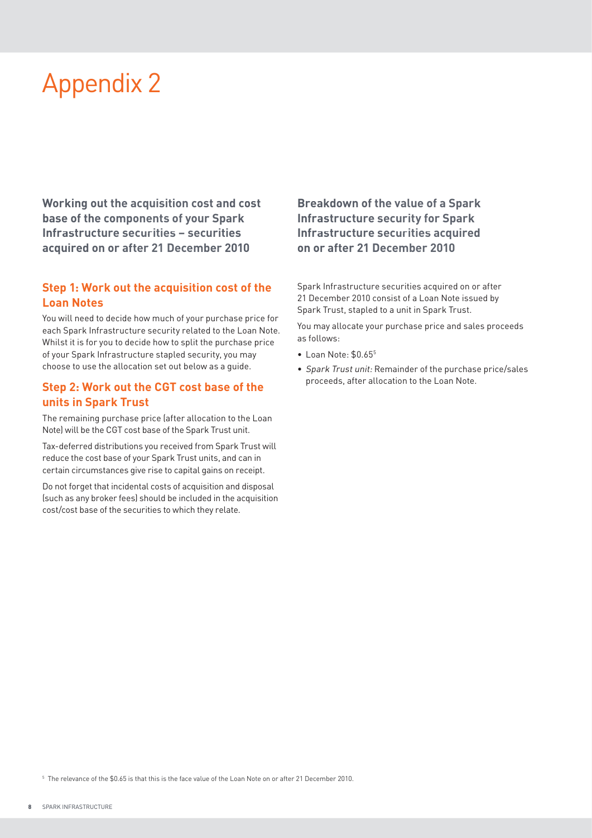# Appendix 2

**Working out the acquisition cost and cost base of the components of your Spark Infrastructure securities – securities acquired on or after 21 December 2010**

## **Step 1: Work out the acquisition cost of the Loan Notes**

You will need to decide how much of your purchase price for each Spark Infrastructure security related to the Loan Note. Whilst it is for you to decide how to split the purchase price of your Spark Infrastructure stapled security, you may choose to use the allocation set out below as a guide.

### **Step 2: Work out the CGT cost base of the units in Spark Trust**

The remaining purchase price (after allocation to the Loan Note) will be the CGT cost base of the Spark Trust unit.

Tax-deferred distributions you received from Spark Trust will reduce the cost base of your Spark Trust units, and can in certain circumstances give rise to capital gains on receipt.

Do not forget that incidental costs of acquisition and disposal (such as any broker fees) should be included in the acquisition cost/cost base of the securities to which they relate.

**Breakdown of the value of a Spark Infrastructure security for Spark Infrastructure securities acquired on or after 21 December 2010**

Spark Infrastructure securities acquired on or after 21 December 2010 consist of a Loan Note issued by Spark Trust, stapled to a unit in Spark Trust.

You may allocate your purchase price and sales proceeds as follows:

- Loan Note: \$0.655
- Spark Trust unit: Remainder of the purchase price/sales proceeds, after allocation to the Loan Note.

 $^{\rm 5}$  The relevance of the \$0.65 is that this is the face value of the Loan Note on or after 21 December 2010.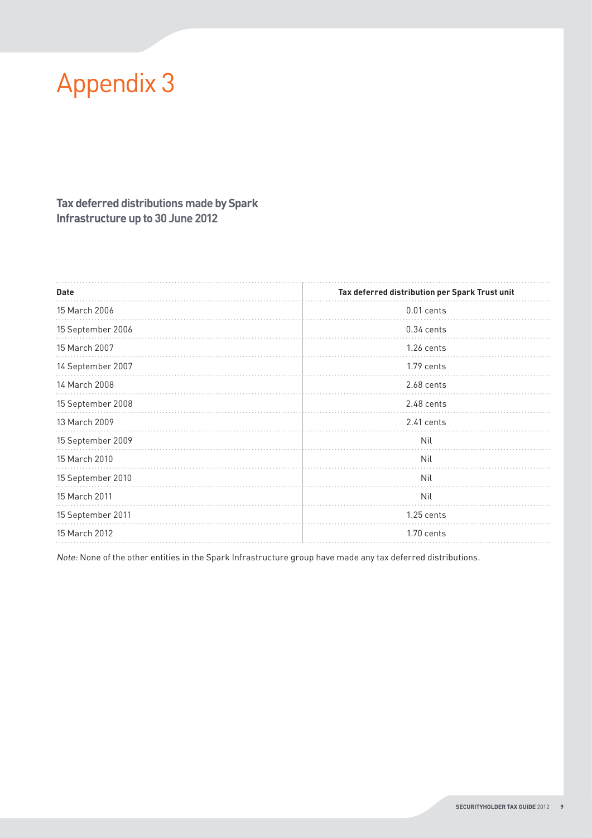# Appendix 3

## **Tax deferred distributionsmade by Spark Infrastructure up to 30 June 2012**

| <b>Date</b>          | Tax deferred distribution per Spark Trust unit |
|----------------------|------------------------------------------------|
| 15 March 2006        | 0.01 cents                                     |
| 15 September 2006    | $0.34$ cents                                   |
| 15 March 2007        | $1.26$ cents                                   |
| 14 September 2007    | 1.79 cents                                     |
| 14 March 2008        | 2.68 cents                                     |
| 15 September 2008    | 2.48 cents                                     |
| 13 March 2009        | $2.41$ cents                                   |
| 15 September 2009    | Nil                                            |
| 15 March 2010        | Nil                                            |
| 15 September 2010    | Nil                                            |
| 15 March 2011<br>Nil |                                                |
| 15 September 2011    | 1.25 cents                                     |
| 15 March 2012        | $1.70$ cents                                   |
|                      |                                                |

Note: None of the other entities in the Spark Infrastructure group have made any tax deferred distributions.